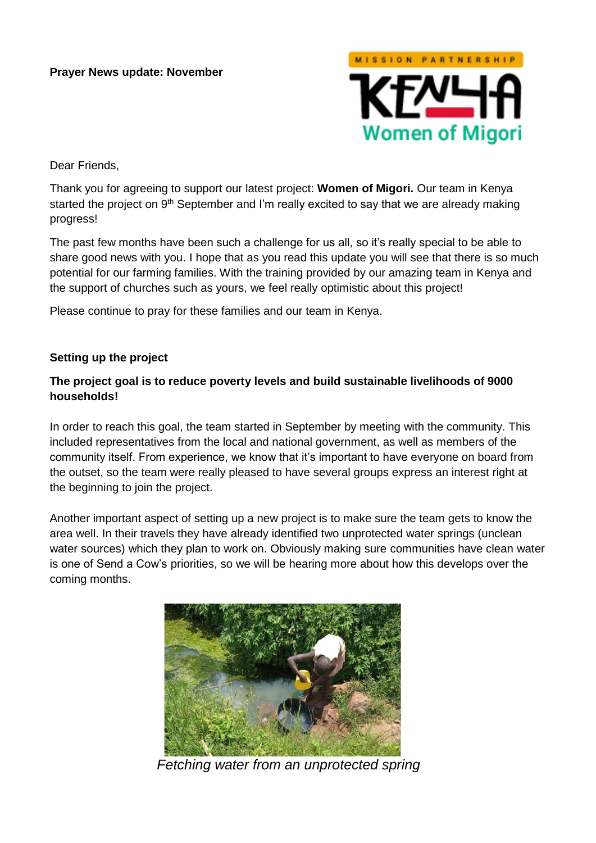#### **Prayer News update: November**



Dear Friends,

Thank you for agreeing to support our latest project: **Women of Migori.** Our team in Kenya started the project on 9<sup>th</sup> September and I'm really excited to say that we are already making progress!

The past few months have been such a challenge for us all, so it's really special to be able to share good news with you. I hope that as you read this update you will see that there is so much potential for our farming families. With the training provided by our amazing team in Kenya and the support of churches such as yours, we feel really optimistic about this project!

Please continue to pray for these families and our team in Kenya.

#### **Setting up the project**

## **The project goal is to reduce poverty levels and build sustainable livelihoods of 9000 households!**

In order to reach this goal, the team started in September by meeting with the community. This included representatives from the local and national government, as well as members of the community itself. From experience, we know that it's important to have everyone on board from the outset, so the team were really pleased to have several groups express an interest right at the beginning to join the project.

Another important aspect of setting up a new project is to make sure the team gets to know the area well. In their travels they have already identified two unprotected water springs (unclean water sources) which they plan to work on. Obviously making sure communities have clean water is one of Send a Cow's priorities, so we will be hearing more about how this develops over the coming months.



*Fetching water from an unprotected spring*